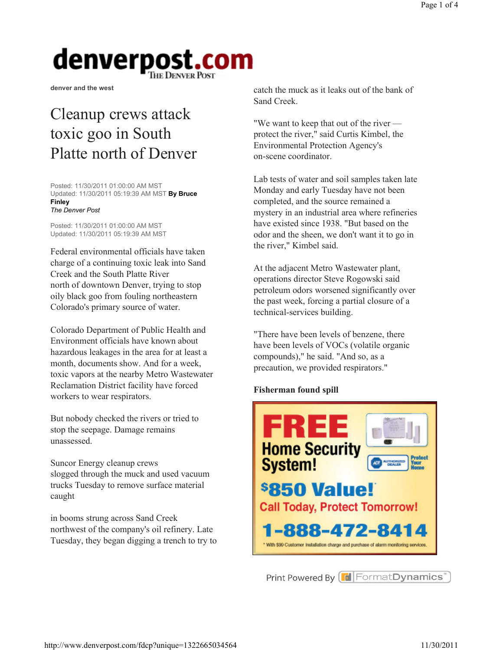denver and the west

### Cleanup crews attack toxic goo in South Platte north of Denver

Posted: 11/30/2011 01:00:00 AM MST Updated: 11/30/2011 05:19:39 AM MST By Bruce Finley The Denver Post

Posted: 11/30/2011 01:00:00 AM MST Updated: 11/30/2011 05:19:39 AM MST

Federal environmental officials have taken charge of a continuing toxic leak into Sand Creek and the South Platte River north of downtown Denver, trying to stop oily black goo from fouling northeastern Colorado's primary source of water.

Colorado Department of Public Health and Environment officials have known about hazardous leakages in the area for at least a month, documents show. And for a week, toxic vapors at the nearby Metro Wastewater Reclamation District facility have forced workers to wear respirators.

But nobody checked the rivers or tried to stop the seepage. Damage remains unassessed.

Suncor Energy cleanup crews slogged through the muck and used vacuum trucks Tuesday to remove surface material caught

in booms strung across Sand Creek northwest of the company's oil refinery. Late Tuesday, they began digging a trench to try to catch the muck as it leaks out of the bank of Sand Creek.

"We want to keep that out of the river protect the river," said Curtis Kimbel, the Environmental Protection Agency's on-scene coordinator.

Lab tests of water and soil samples taken late Monday and early Tuesday have not been completed, and the source remained a mystery in an industrial area where refineries have existed since 1938. "But based on the odor and the sheen, we don't want it to go in the river," Kimbel said.

At the adjacent Metro Wastewater plant, operations director Steve Rogowski said petroleum odors worsened significantly over the past week, forcing a partial closure of a technical-services building.

"There have been levels of benzene, there have been levels of VOCs (volatile organic compounds)," he said. "And so, as a precaution, we provided respirators."

#### Fisherman found spill



Print Powered By **F** Format Dynamics<sup>®</sup>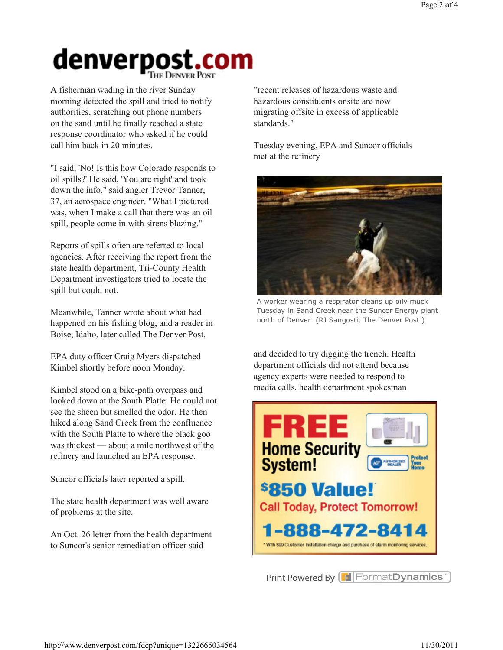A fisherman wading in the river Sunday morning detected the spill and tried to notify authorities, scratching out phone numbers on the sand until he finally reached a state response coordinator who asked if he could call him back in 20 minutes.

"I said, 'No! Is this how Colorado responds to oil spills?' He said, 'You are right' and took down the info," said angler Trevor Tanner, 37, an aerospace engineer. "What I pictured was, when I make a call that there was an oil spill, people come in with sirens blazing."

Reports of spills often are referred to local agencies. After receiving the report from the state health department, Tri-County Health Department investigators tried to locate the spill but could not.

Meanwhile, Tanner wrote about what had happened on his fishing blog, and a reader in Boise, Idaho, later called The Denver Post.

EPA duty officer Craig Myers dispatched Kimbel shortly before noon Monday.

Kimbel stood on a bike-path overpass and looked down at the South Platte. He could not see the sheen but smelled the odor. He then hiked along Sand Creek from the confluence with the South Platte to where the black goo was thickest — about a mile northwest of the refinery and launched an EPA response.

Suncor officials later reported a spill.

The state health department was well aware of problems at the site.

An Oct. 26 letter from the health department to Suncor's senior remediation officer said

"recent releases of hazardous waste and hazardous constituents onsite are now migrating offsite in excess of applicable standards."

Tuesday evening, EPA and Suncor officials met at the refinery



A worker wearing a respirator cleans up oily muck Tuesday in Sand Creek near the Suncor Energy plant north of Denver. (RJ Sangosti, The Denver Post )

and decided to try digging the trench. Health department officials did not attend because agency experts were needed to respond to media calls, health department spokesman



Print Powered By FormatDynamics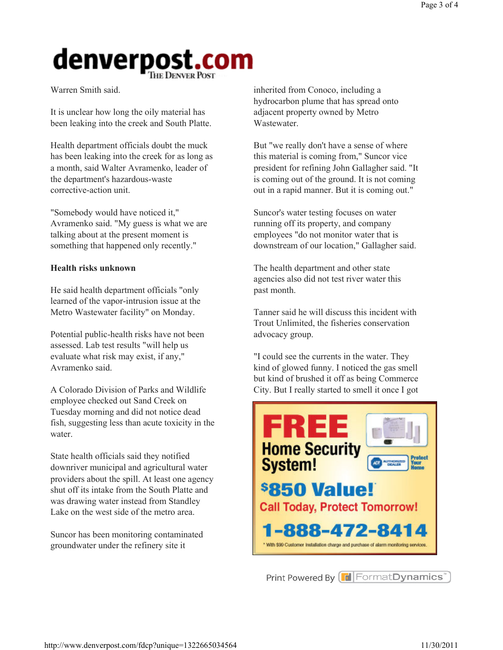Warren Smith said.

It is unclear how long the oily material has been leaking into the creek and South Platte.

Health department officials doubt the muck has been leaking into the creek for as long as a month, said Walter Avramenko, leader of the department's hazardous-waste corrective-action unit.

"Somebody would have noticed it," Avramenko said. "My guess is what we are talking about at the present moment is something that happened only recently."

#### Health risks unknown

He said health department officials "only learned of the vapor-intrusion issue at the Metro Wastewater facility" on Monday.

Potential public-health risks have not been assessed. Lab test results "will help us evaluate what risk may exist, if any," Avramenko said.

A Colorado Division of Parks and Wildlife employee checked out Sand Creek on Tuesday morning and did not notice dead fish, suggesting less than acute toxicity in the water.

State health officials said they notified downriver municipal and agricultural water providers about the spill. At least one agency shut off its intake from the South Platte and was drawing water instead from Standley Lake on the west side of the metro area.

Suncor has been monitoring contaminated groundwater under the refinery site it

inherited from Conoco, including a hydrocarbon plume that has spread onto adjacent property owned by Metro Wastewater.

But "we really don't have a sense of where this material is coming from," Suncor vice president for refining John Gallagher said. "It is coming out of the ground. It is not coming out in a rapid manner. But it is coming out."

Suncor's water testing focuses on water running off its property, and company employees "do not monitor water that is downstream of our location," Gallagher said.

The health department and other state agencies also did not test river water this past month.

Tanner said he will discuss this incident with Trout Unlimited, the fisheries conservation advocacy group.

"I could see the currents in the water. They kind of glowed funny. I noticed the gas smell but kind of brushed it off as being Commerce City. But I really started to smell it once I got



Print Powered By **F** Format Dynamics<sup>®</sup>